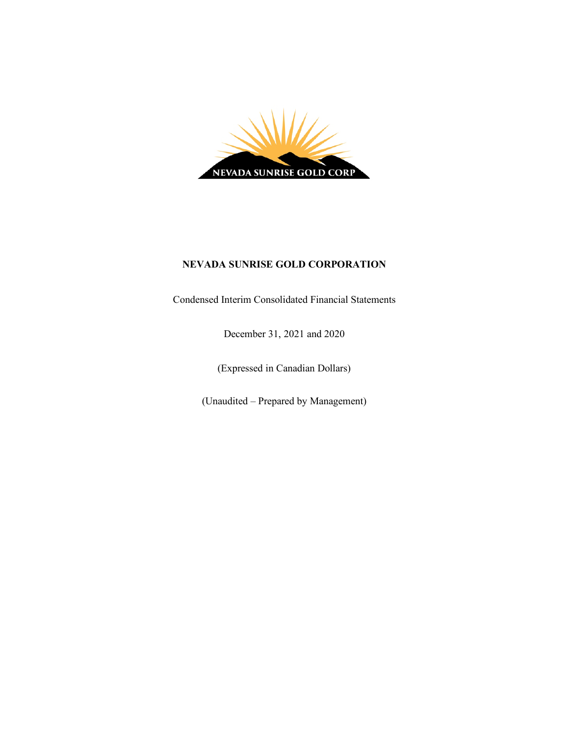

# **NEVADA SUNRISE GOLD CORPORATION**

Condensed Interim Consolidated Financial Statements

December 31, 2021 and 2020

(Expressed in Canadian Dollars)

(Unaudited – Prepared by Management)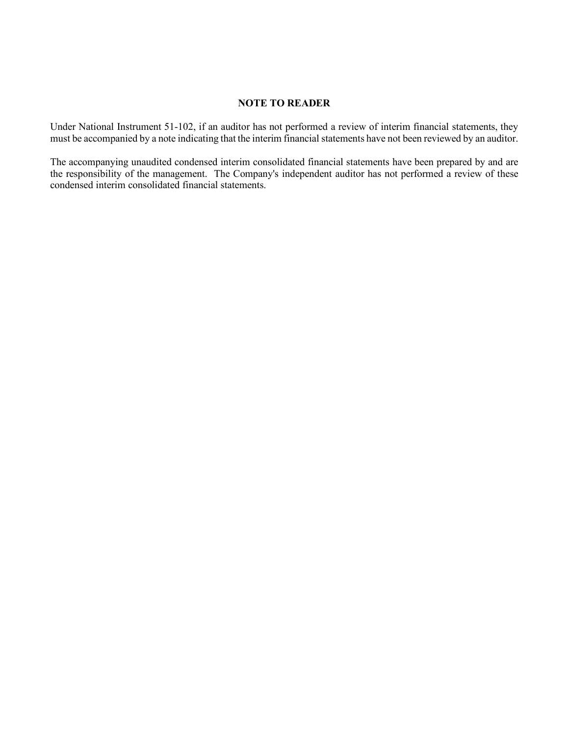# **NOTE TO READER**

Under National Instrument 51-102, if an auditor has not performed a review of interim financial statements, they must be accompanied by a note indicating that the interim financial statements have not been reviewed by an auditor.

The accompanying unaudited condensed interim consolidated financial statements have been prepared by and are the responsibility of the management. The Company's independent auditor has not performed a review of these condensed interim consolidated financial statements.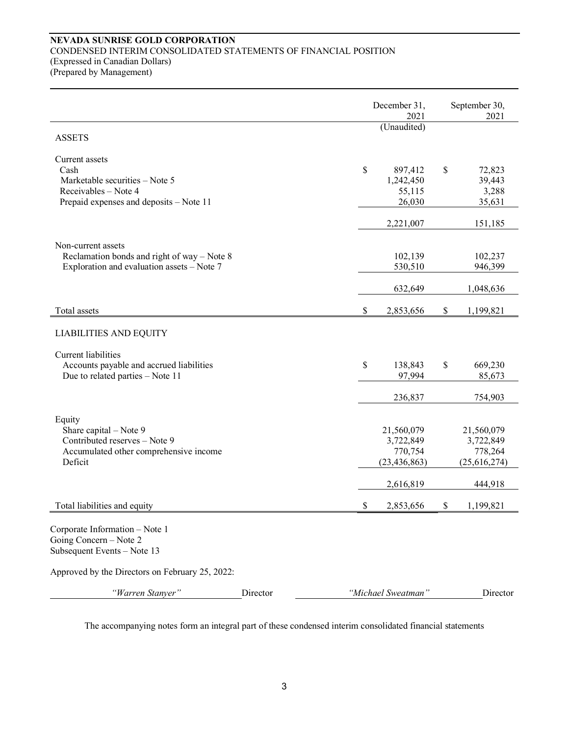# **NEVADA SUNRISE GOLD CORPORATION** CONDENSED INTERIM CONSOLIDATED STATEMENTS OF FINANCIAL POSITION (Expressed in Canadian Dollars) (Prepared by Management)

|                                                                                                                             |          |              | December 31,<br>2021                                 | September 30,<br>2021                              |
|-----------------------------------------------------------------------------------------------------------------------------|----------|--------------|------------------------------------------------------|----------------------------------------------------|
| <b>ASSETS</b>                                                                                                               |          |              | (Unaudited)                                          |                                                    |
| Current assets<br>Cash<br>Marketable securities - Note 5<br>Receivables - Note 4<br>Prepaid expenses and deposits - Note 11 |          | $\mathbb{S}$ | 897,412<br>1,242,450<br>55,115<br>26,030             | \$<br>72,823<br>39,443<br>3,288<br>35,631          |
|                                                                                                                             |          |              | 2,221,007                                            | 151,185                                            |
| Non-current assets<br>Reclamation bonds and right of way $-$ Note 8<br>Exploration and evaluation assets - Note 7           |          |              | 102,139<br>530,510                                   | 102,237<br>946,399                                 |
|                                                                                                                             |          |              | 632,649                                              | 1,048,636                                          |
| Total assets                                                                                                                |          | $\$$         | 2,853,656                                            | \$<br>1,199,821                                    |
| <b>LIABILITIES AND EQUITY</b>                                                                                               |          |              |                                                      |                                                    |
| <b>Current liabilities</b><br>Accounts payable and accrued liabilities<br>Due to related parties - Note 11                  |          | \$           | 138,843<br>97,994                                    | \$<br>669,230<br>85,673                            |
|                                                                                                                             |          |              | 236,837                                              | 754,903                                            |
| Equity<br>Share capital - Note 9<br>Contributed reserves - Note 9<br>Accumulated other comprehensive income<br>Deficit      |          |              | 21,560,079<br>3,722,849<br>770,754<br>(23, 436, 863) | 21,560,079<br>3,722,849<br>778,264<br>(25,616,274) |
|                                                                                                                             |          |              | 2,616,819                                            | 444,918                                            |
| Total liabilities and equity                                                                                                |          | \$           | 2,853,656                                            | \$<br>1,199,821                                    |
| Corporate Information - Note 1<br>Going Concern – Note 2<br>Subsequent Events - Note 13                                     |          |              |                                                      |                                                    |
| Approved by the Directors on February 25, 2022:                                                                             |          |              |                                                      |                                                    |
| "Warren Stanyer"                                                                                                            | Director |              | "Michael Sweatman"                                   | Director                                           |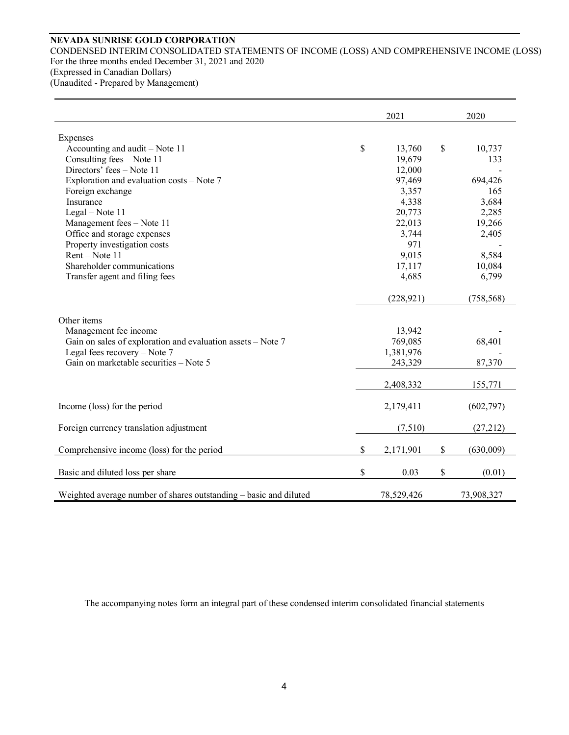# **NEVADA SUNRISE GOLD CORPORATION**

CONDENSED INTERIM CONSOLIDATED STATEMENTS OF INCOME (LOSS) AND COMPREHENSIVE INCOME (LOSS) For the three months ended December 31, 2021 and 2020 (Expressed in Canadian Dollars)

(Unaudited - Prepared by Management)

|                                                                   | 2021            |      | 2020       |
|-------------------------------------------------------------------|-----------------|------|------------|
| Expenses                                                          |                 |      |            |
| Accounting and audit – Note 11                                    | \$<br>13,760    | \$   | 10,737     |
| Consulting fees - Note 11                                         | 19,679          |      | 133        |
| Directors' fees - Note 11                                         | 12,000          |      |            |
| Exploration and evaluation costs - Note 7                         | 97,469          |      | 694,426    |
| Foreign exchange                                                  | 3,357           |      | 165        |
| Insurance                                                         | 4,338           |      | 3,684      |
| Legal - Note 11                                                   | 20,773          |      | 2,285      |
| Management fees - Note 11                                         | 22,013          |      | 19,266     |
| Office and storage expenses                                       | 3,744           |      | 2,405      |
| Property investigation costs                                      | 971             |      |            |
| Rent - Note 11                                                    | 9,015           |      | 8,584      |
| Shareholder communications                                        | 17,117          |      | 10,084     |
| Transfer agent and filing fees                                    | 4,685           |      | 6,799      |
|                                                                   | (228, 921)      |      | (758, 568) |
| Other items                                                       |                 |      |            |
| Management fee income                                             | 13,942          |      |            |
| Gain on sales of exploration and evaluation assets - Note 7       | 769,085         |      | 68,401     |
| Legal fees recovery $-$ Note 7                                    | 1,381,976       |      |            |
| Gain on marketable securities - Note 5                            | 243,329         |      | 87,370     |
|                                                                   | 2,408,332       |      | 155,771    |
| Income (loss) for the period                                      | 2,179,411       |      | (602, 797) |
| Foreign currency translation adjustment                           | (7,510)         |      | (27, 212)  |
| Comprehensive income (loss) for the period                        | \$<br>2,171,901 | $\$$ | (630,009)  |
| Basic and diluted loss per share                                  | \$<br>0.03      | \$   | (0.01)     |
| Weighted average number of shares outstanding - basic and diluted | 78,529,426      |      | 73,908,327 |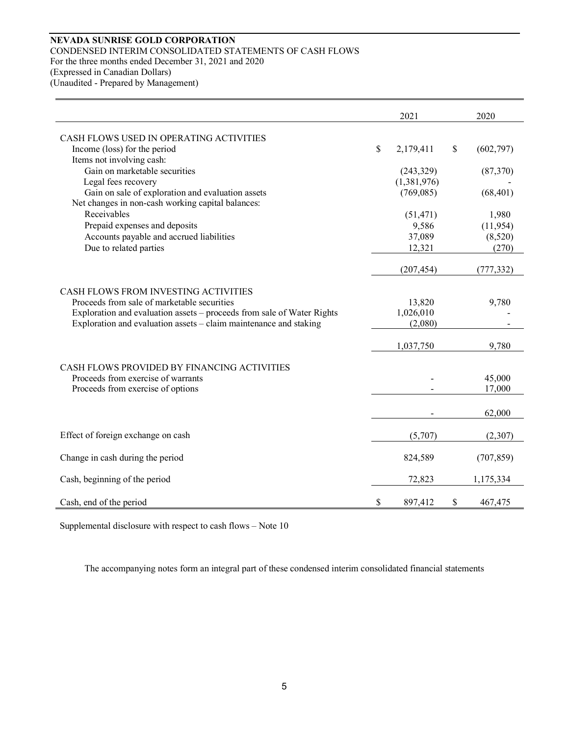# **NEVADA SUNRISE GOLD CORPORATION** CONDENSED INTERIM CONSOLIDATED STATEMENTS OF CASH FLOWS For the three months ended December 31, 2021 and 2020 (Expressed in Canadian Dollars)

(Unaudited - Prepared by Management)

|                                                                                     | 2021             | 2020             |
|-------------------------------------------------------------------------------------|------------------|------------------|
| CASH FLOWS USED IN OPERATING ACTIVITIES                                             |                  |                  |
| Income (loss) for the period                                                        | \$<br>2,179,411  | \$<br>(602, 797) |
| Items not involving cash:<br>Gain on marketable securities                          | (243, 329)       |                  |
| Legal fees recovery                                                                 | (1,381,976)      | (87,370)         |
| Gain on sale of exploration and evaluation assets                                   | (769,085)        | (68, 401)        |
| Net changes in non-cash working capital balances:                                   |                  |                  |
| Receivables                                                                         | (51, 471)        | 1,980            |
| Prepaid expenses and deposits                                                       | 9,586            | (11, 954)        |
| Accounts payable and accrued liabilities<br>Due to related parties                  | 37,089<br>12,321 | (8,520)<br>(270) |
|                                                                                     |                  |                  |
|                                                                                     | (207, 454)       | (777, 332)       |
|                                                                                     |                  |                  |
| CASH FLOWS FROM INVESTING ACTIVITIES<br>Proceeds from sale of marketable securities | 13,820           | 9,780            |
| Exploration and evaluation assets – proceeds from sale of Water Rights              | 1,026,010        |                  |
| Exploration and evaluation assets – claim maintenance and staking                   | (2,080)          |                  |
|                                                                                     | 1,037,750        | 9,780            |
|                                                                                     |                  |                  |
| CASH FLOWS PROVIDED BY FINANCING ACTIVITIES                                         |                  |                  |
| Proceeds from exercise of warrants                                                  |                  | 45,000           |
| Proceeds from exercise of options                                                   |                  | 17,000           |
|                                                                                     |                  | 62,000           |
| Effect of foreign exchange on cash                                                  | (5,707)          | (2,307)          |
|                                                                                     |                  |                  |
| Change in cash during the period                                                    | 824,589          | (707, 859)       |
| Cash, beginning of the period                                                       | 72,823           | 1,175,334        |
| Cash, end of the period                                                             | \$<br>897,412    | \$<br>467,475    |

Supplemental disclosure with respect to cash flows – Note 10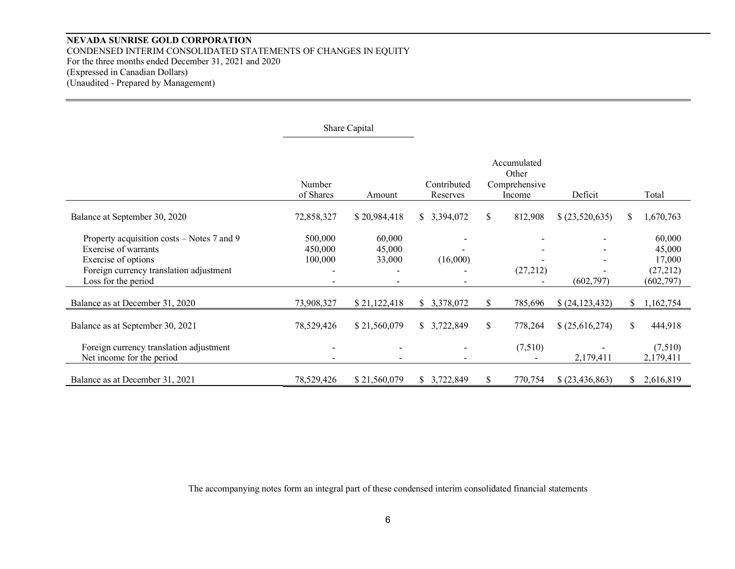# **NEVADA SUNRISE GOLD CORPORATION** CONDENSED INTERIM CONSOLIDATED STATEMENTS OF CHANGES IN EQUITY For the three months ended December 31, 2021 and 2020 (Expressed in Canadian Dollars) (Unaudited - Prepared by Management)

|                                                                                                                                                             |                               | Share Capital              |                         |                                                 |          |                   |    |                                                      |
|-------------------------------------------------------------------------------------------------------------------------------------------------------------|-------------------------------|----------------------------|-------------------------|-------------------------------------------------|----------|-------------------|----|------------------------------------------------------|
|                                                                                                                                                             | Number<br>of Shares           | Amount                     | Contributed<br>Reserves | Accumulated<br>Other<br>Comprehensive<br>Income |          | Deficit           |    | Total                                                |
| Balance at September 30, 2020                                                                                                                               | 72,858,327                    | \$20,984,418               | \$3,394,072             | \$                                              | 812,908  | (23,520,635)      | \$ | 1,670,763                                            |
| Property acquisition costs – Notes 7 and 9<br>Exercise of warrants<br>Exercise of options<br>Foreign currency translation adjustment<br>Loss for the period | 500,000<br>450,000<br>100,000 | 60,000<br>45,000<br>33,000 | (16,000)                |                                                 | (27,212) | (602, 797)        |    | 60,000<br>45,000<br>17,000<br>(27,212)<br>(602, 797) |
| Balance as at December 31, 2020                                                                                                                             | 73,908,327                    | \$21,122,418               | \$ 3,378,072            | \$                                              | 785,696  | (24, 123, 432)    | S. | 1,162,754                                            |
| Balance as at September 30, 2021                                                                                                                            | 78,529,426                    | \$21,560,079               | \$3,722,849             | \$                                              | 778,264  | \$ (25,616,274)   | \$ | 444,918                                              |
| Foreign currency translation adjustment<br>Net income for the period                                                                                        |                               |                            |                         |                                                 | (7,510)  | 2,179,411         |    | (7,510)<br>2,179,411                                 |
| Balance as at December 31, 2021                                                                                                                             | 78,529,426                    | \$21,560,079               | \$3,722,849             | \$                                              | 770,754  | \$ (23, 436, 863) | S. | 2,616,819                                            |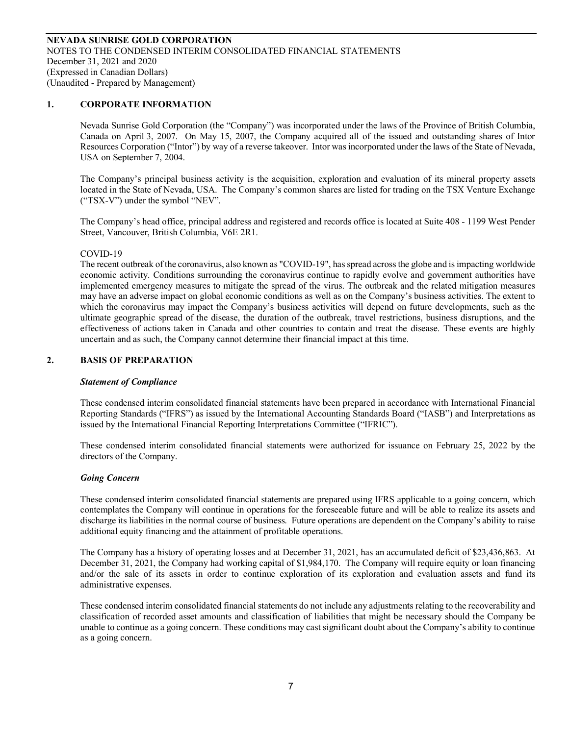### **1. CORPORATE INFORMATION**

Nevada Sunrise Gold Corporation (the "Company") was incorporated under the laws of the Province of British Columbia, Canada on April 3, 2007. On May 15, 2007, the Company acquired all of the issued and outstanding shares of Intor Resources Corporation ("Intor") by way of a reverse takeover. Intor was incorporated under the laws of the State of Nevada, USA on September 7, 2004.

The Company's principal business activity is the acquisition, exploration and evaluation of its mineral property assets located in the State of Nevada, USA. The Company's common shares are listed for trading on the TSX Venture Exchange ("TSX-V") under the symbol "NEV".

The Company's head office, principal address and registered and records office is located at Suite 408 - 1199 West Pender Street, Vancouver, British Columbia, V6E 2R1.

#### COVID-19

The recent outbreak of the coronavirus, also known as "COVID-19", has spread across the globe and is impacting worldwide economic activity. Conditions surrounding the coronavirus continue to rapidly evolve and government authorities have implemented emergency measures to mitigate the spread of the virus. The outbreak and the related mitigation measures may have an adverse impact on global economic conditions as well as on the Company's business activities. The extent to which the coronavirus may impact the Company's business activities will depend on future developments, such as the ultimate geographic spread of the disease, the duration of the outbreak, travel restrictions, business disruptions, and the effectiveness of actions taken in Canada and other countries to contain and treat the disease. These events are highly uncertain and as such, the Company cannot determine their financial impact at this time.

#### **2. BASIS OF PREPARATION**

#### *Statement of Compliance*

These condensed interim consolidated financial statements have been prepared in accordance with International Financial Reporting Standards ("IFRS") as issued by the International Accounting Standards Board ("IASB") and Interpretations as issued by the International Financial Reporting Interpretations Committee ("IFRIC").

These condensed interim consolidated financial statements were authorized for issuance on February 25, 2022 by the directors of the Company.

#### *Going Concern*

These condensed interim consolidated financial statements are prepared using IFRS applicable to a going concern, which contemplates the Company will continue in operations for the foreseeable future and will be able to realize its assets and discharge its liabilities in the normal course of business. Future operations are dependent on the Company's ability to raise additional equity financing and the attainment of profitable operations.

The Company has a history of operating losses and at December 31, 2021, has an accumulated deficit of \$23,436,863. At December 31, 2021, the Company had working capital of \$1,984,170. The Company will require equity or loan financing and/or the sale of its assets in order to continue exploration of its exploration and evaluation assets and fund its administrative expenses.

These condensed interim consolidated financial statements do not include any adjustments relating to the recoverability and classification of recorded asset amounts and classification of liabilities that might be necessary should the Company be unable to continue as a going concern. These conditions may cast significant doubt about the Company's ability to continue as a going concern.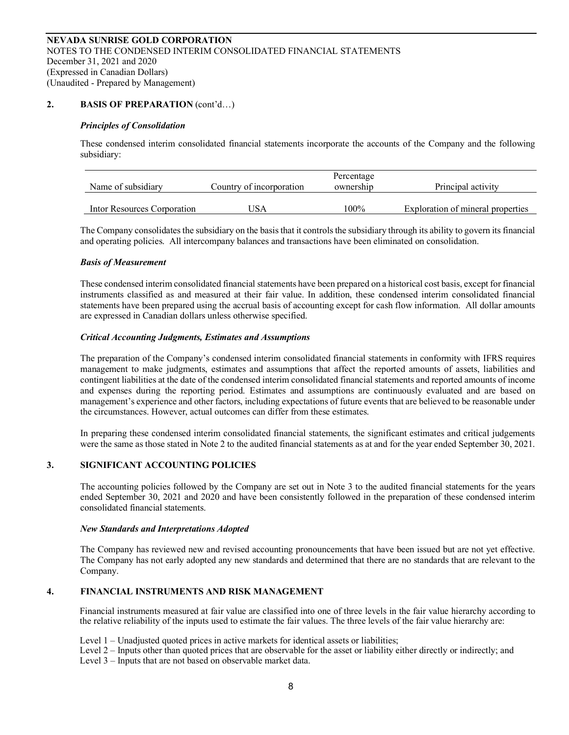# **2. BASIS OF PREPARATION** (cont'd…)

#### *Principles of Consolidation*

These condensed interim consolidated financial statements incorporate the accounts of the Company and the following subsidiary:

| Name of subsidiary          | Country of incorporation | Percentage<br>ownership | Principal activity                |
|-----------------------------|--------------------------|-------------------------|-----------------------------------|
| Intor Resources Corporation | USA                      | $100\%$                 | Exploration of mineral properties |

The Company consolidates the subsidiary on the basis that it controls the subsidiary through its ability to govern its financial and operating policies. All intercompany balances and transactions have been eliminated on consolidation.

#### *Basis of Measurement*

These condensed interim consolidated financial statements have been prepared on a historical cost basis, except for financial instruments classified as and measured at their fair value. In addition, these condensed interim consolidated financial statements have been prepared using the accrual basis of accounting except for cash flow information. All dollar amounts are expressed in Canadian dollars unless otherwise specified.

#### *Critical Accounting Judgments, Estimates and Assumptions*

The preparation of the Company's condensed interim consolidated financial statements in conformity with IFRS requires management to make judgments, estimates and assumptions that affect the reported amounts of assets, liabilities and contingent liabilities at the date of the condensed interim consolidated financial statements and reported amounts of income and expenses during the reporting period. Estimates and assumptions are continuously evaluated and are based on management's experience and other factors, including expectations of future events that are believed to be reasonable under the circumstances. However, actual outcomes can differ from these estimates.

In preparing these condensed interim consolidated financial statements, the significant estimates and critical judgements were the same as those stated in Note 2 to the audited financial statements as at and for the year ended September 30, 2021.

#### **3. SIGNIFICANT ACCOUNTING POLICIES**

The accounting policies followed by the Company are set out in Note 3 to the audited financial statements for the years ended September 30, 2021 and 2020 and have been consistently followed in the preparation of these condensed interim consolidated financial statements.

#### *New Standards and Interpretations Adopted*

The Company has reviewed new and revised accounting pronouncements that have been issued but are not yet effective. The Company has not early adopted any new standards and determined that there are no standards that are relevant to the Company.

# **4. FINANCIAL INSTRUMENTS AND RISK MANAGEMENT**

Financial instruments measured at fair value are classified into one of three levels in the fair value hierarchy according to the relative reliability of the inputs used to estimate the fair values. The three levels of the fair value hierarchy are:

Level 1 – Unadjusted quoted prices in active markets for identical assets or liabilities;

Level 2 – Inputs other than quoted prices that are observable for the asset or liability either directly or indirectly; and Level 3 – Inputs that are not based on observable market data.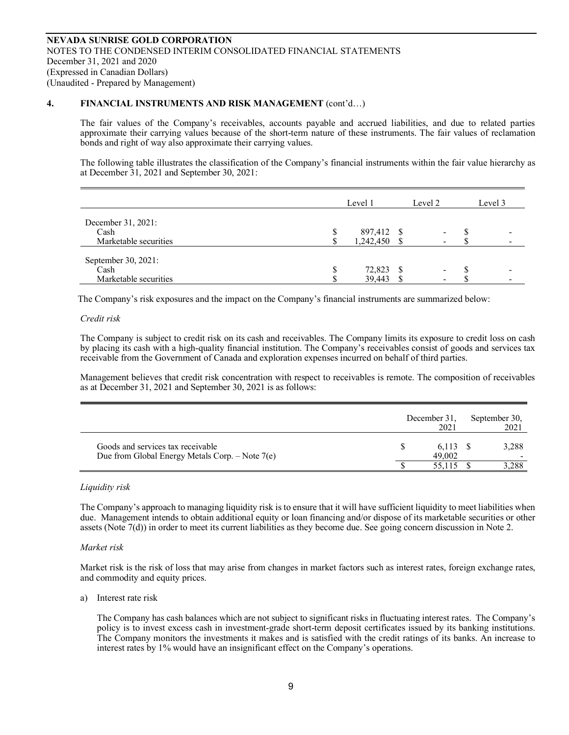#### **4. FINANCIAL INSTRUMENTS AND RISK MANAGEMENT** (cont'd…)

The fair values of the Company's receivables, accounts payable and accrued liabilities, and due to related parties approximate their carrying values because of the short-term nature of these instruments. The fair values of reclamation bonds and right of way also approximate their carrying values.

The following table illustrates the classification of the Company's financial instruments within the fair value hierarchy as at December 31, 2021 and September 30, 2021:

|                                                      | Level 1                 | Level 2                  | Level 3 |
|------------------------------------------------------|-------------------------|--------------------------|---------|
| December 31, 2021:<br>Cash<br>Marketable securities  | 897,412 \$<br>1,242,450 | $\overline{\phantom{a}}$ |         |
| September 30, 2021:<br>Cash<br>Marketable securities | 72,823<br>39,443        | $\,$                     |         |

The Company's risk exposures and the impact on the Company's financial instruments are summarized below:

#### *Credit risk*

The Company is subject to credit risk on its cash and receivables. The Company limits its exposure to credit loss on cash by placing its cash with a high-quality financial institution. The Company's receivables consist of goods and services tax receivable from the Government of Canada and exploration expenses incurred on behalf of third parties.

Management believes that credit risk concentration with respect to receivables is remote. The composition of receivables as at December 31, 2021 and September 30, 2021 is as follows:

|                                                                                        | December 31,<br>2021 | September 30,<br>2021 |
|----------------------------------------------------------------------------------------|----------------------|-----------------------|
| Goods and services tax receivable<br>Due from Global Energy Metals Corp. $-$ Note 7(e) | 6,113 \$<br>49,002   | 3,288                 |
|                                                                                        | 55,115               | 3,288                 |

#### *Liquidity risk*

The Company's approach to managing liquidity risk is to ensure that it will have sufficient liquidity to meet liabilities when due. Management intends to obtain additional equity or loan financing and/or dispose of its marketable securities or other assets (Note 7(d)) in order to meet its current liabilities as they become due. See going concern discussion in Note 2.

#### *Market risk*

Market risk is the risk of loss that may arise from changes in market factors such as interest rates, foreign exchange rates, and commodity and equity prices.

#### a) Interest rate risk

The Company has cash balances which are not subject to significant risks in fluctuating interest rates. The Company's policy is to invest excess cash in investment-grade short-term deposit certificates issued by its banking institutions. The Company monitors the investments it makes and is satisfied with the credit ratings of its banks. An increase to interest rates by 1% would have an insignificant effect on the Company's operations.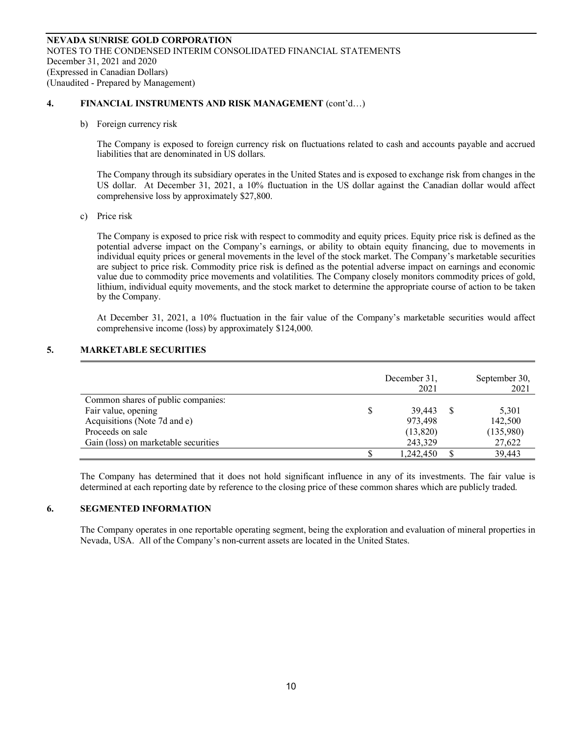### **4. FINANCIAL INSTRUMENTS AND RISK MANAGEMENT** (cont'd…)

b) Foreign currency risk

The Company is exposed to foreign currency risk on fluctuations related to cash and accounts payable and accrued liabilities that are denominated in US dollars.

The Company through its subsidiary operates in the United States and is exposed to exchange risk from changes in the US dollar. At December 31, 2021, a 10% fluctuation in the US dollar against the Canadian dollar would affect comprehensive loss by approximately \$27,800.

c) Price risk

The Company is exposed to price risk with respect to commodity and equity prices. Equity price risk is defined as the potential adverse impact on the Company's earnings, or ability to obtain equity financing, due to movements in individual equity prices or general movements in the level of the stock market. The Company's marketable securities are subject to price risk. Commodity price risk is defined as the potential adverse impact on earnings and economic value due to commodity price movements and volatilities. The Company closely monitors commodity prices of gold, lithium, individual equity movements, and the stock market to determine the appropriate course of action to be taken by the Company.

At December 31, 2021, a 10% fluctuation in the fair value of the Company's marketable securities would affect comprehensive income (loss) by approximately \$124,000.

# **5. MARKETABLE SECURITIES**

|                                      |   | December 31,<br>2021 | September 30,<br>2021 |
|--------------------------------------|---|----------------------|-----------------------|
| Common shares of public companies:   |   |                      |                       |
| Fair value, opening                  | S | 39.443               | 5,301                 |
| Acquisitions (Note 7d and e)         |   | 973,498              | 142,500               |
| Proceeds on sale                     |   | (13,820)             | (135,980)             |
| Gain (loss) on marketable securities |   | 243,329              | 27,622                |
|                                      |   | 1,242,450            | 39,443                |

The Company has determined that it does not hold significant influence in any of its investments. The fair value is determined at each reporting date by reference to the closing price of these common shares which are publicly traded.

# **6. SEGMENTED INFORMATION**

The Company operates in one reportable operating segment, being the exploration and evaluation of mineral properties in Nevada, USA. All of the Company's non-current assets are located in the United States.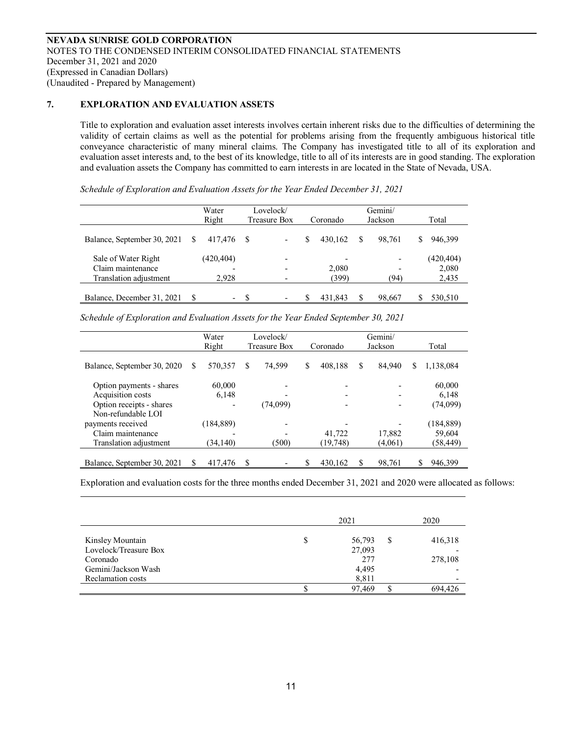### **7. EXPLORATION AND EVALUATION ASSETS**

Title to exploration and evaluation asset interests involves certain inherent risks due to the difficulties of determining the validity of certain claims as well as the potential for problems arising from the frequently ambiguous historical title conveyance characteristic of many mineral claims. The Company has investigated title to all of its exploration and evaluation asset interests and, to the best of its knowledge, title to all of its interests are in good standing. The exploration and evaluation assets the Company has committed to earn interests in are located in the State of Nevada, USA.

*Schedule of Exploration and Evaluation Assets for the Year Ended December 31, 2021*

|                             |   | Water<br>Right               |      | Lovelock/<br>Treasure Box |   | Coronado                 |    | Gemini/<br>Jackson       |   | Total     |
|-----------------------------|---|------------------------------|------|---------------------------|---|--------------------------|----|--------------------------|---|-----------|
| Balance, September 30, 2021 | S | 417.476                      | - \$ | $\overline{\phantom{a}}$  | S | 430.162                  | S  | 98.761                   | S | 946,399   |
| Sale of Water Right         |   | (420, 404)                   |      |                           |   | $\overline{\phantom{0}}$ |    | $\overline{\phantom{0}}$ |   | (420,404) |
| Claim maintenance           |   |                              |      |                           |   | 2,080                    |    | -                        |   | 2,080     |
| Translation adjustment      |   | 2.928                        |      |                           |   | (399)                    |    | (94)                     |   | 2,435     |
|                             |   |                              |      |                           |   |                          |    |                          |   |           |
| Balance, December 31, 2021  |   | $\qquad \qquad \blacksquare$ | S    | $\overline{\phantom{a}}$  |   | 431.843                  | \$ | 98,667                   |   | 530,510   |

*Schedule of Exploration and Evaluation Assets for the Year Ended September 30, 2021*

|                             |   | Water<br>Right | Lovelock/<br>Treasure Box | Coronado      |    | Gemini/<br>Jackson |   | Total      |
|-----------------------------|---|----------------|---------------------------|---------------|----|--------------------|---|------------|
|                             |   |                |                           |               |    |                    |   |            |
| Balance, September 30, 2020 | S | 570,357        | \$<br>74.599              | \$<br>408,188 | \$ | 84,940             | S | 1,138,084  |
| Option payments - shares    |   | 60,000         |                           | -             |    |                    |   | 60,000     |
| Acquisition costs           |   | 6,148          |                           |               |    |                    |   | 6,148      |
| Option receipts - shares    |   |                | (74,099)                  |               |    |                    |   | (74,099)   |
| Non-refundable LOI          |   |                |                           |               |    |                    |   |            |
| payments received           |   | (184, 889)     |                           |               |    |                    |   | (184, 889) |
| Claim maintenance           |   |                |                           | 41,722        |    | 17.882             |   | 59,604     |
| Translation adjustment      |   | (34, 140)      | (500)                     | (19, 748)     |    | (4,061)            |   | (58,449)   |
|                             |   |                |                           |               |    |                    |   |            |
| Balance, September 30, 2021 | S | 417,476        | \$                        | 430.162       | S  | 98.761             |   | 946,399    |

Exploration and evaluation costs for the three months ended December 31, 2021 and 2020 were allocated as follows:

|                       | 2021   |   | 2020    |
|-----------------------|--------|---|---------|
| Kinsley Mountain      | 56,793 | S | 416,318 |
| Lovelock/Treasure Box | 27,093 |   |         |
| Coronado              | 277    |   | 278,108 |
| Gemini/Jackson Wash   | 4,495  |   |         |
| Reclamation costs     | 8,811  |   |         |
|                       | 97,469 |   | 694.426 |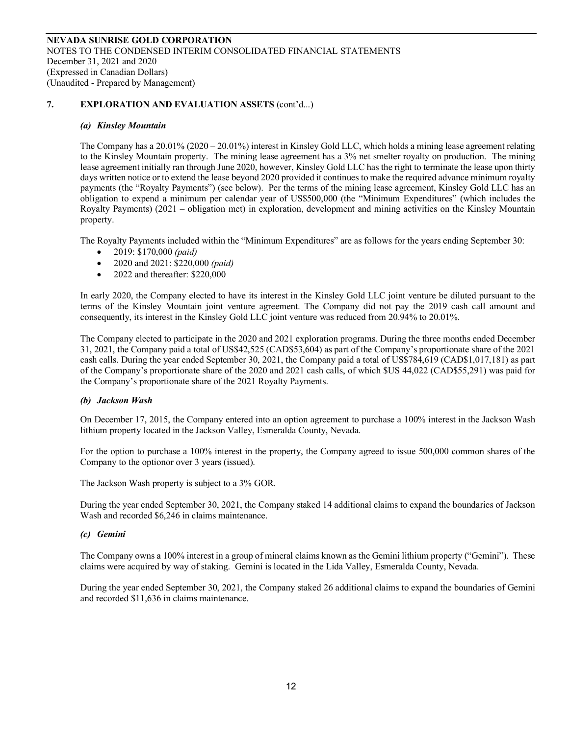### *(a) Kinsley Mountain*

The Company has a 20.01% (2020 – 20.01%) interest in Kinsley Gold LLC, which holds a mining lease agreement relating to the Kinsley Mountain property. The mining lease agreement has a 3% net smelter royalty on production. The mining lease agreement initially ran through June 2020, however, Kinsley Gold LLC has the right to terminate the lease upon thirty days written notice or to extend the lease beyond 2020 provided it continues to make the required advance minimum royalty payments (the "Royalty Payments") (see below). Per the terms of the mining lease agreement, Kinsley Gold LLC has an obligation to expend a minimum per calendar year of US\$500,000 (the "Minimum Expenditures" (which includes the Royalty Payments) (2021 – obligation met) in exploration, development and mining activities on the Kinsley Mountain property.

The Royalty Payments included within the "Minimum Expenditures" are as follows for the years ending September 30:

- 2019: \$170,000 *(paid)*
- 2020 and 2021: \$220,000 *(paid)*
- 2022 and thereafter: \$220,000

In early 2020, the Company elected to have its interest in the Kinsley Gold LLC joint venture be diluted pursuant to the terms of the Kinsley Mountain joint venture agreement. The Company did not pay the 2019 cash call amount and consequently, its interest in the Kinsley Gold LLC joint venture was reduced from 20.94% to 20.01%.

The Company elected to participate in the 2020 and 2021 exploration programs. During the three months ended December 31, 2021, the Company paid a total of US\$42,525 (CAD\$53,604) as part of the Company's proportionate share of the 2021 cash calls. During the year ended September 30, 2021, the Company paid a total of US\$784,619 (CAD\$1,017,181) as part of the Company's proportionate share of the 2020 and 2021 cash calls, of which \$US 44,022 (CAD\$55,291) was paid for the Company's proportionate share of the 2021 Royalty Payments.

# *(b) Jackson Wash*

On December 17, 2015, the Company entered into an option agreement to purchase a 100% interest in the Jackson Wash lithium property located in the Jackson Valley, Esmeralda County, Nevada.

For the option to purchase a 100% interest in the property, the Company agreed to issue 500,000 common shares of the Company to the optionor over 3 years (issued).

The Jackson Wash property is subject to a 3% GOR.

During the year ended September 30, 2021, the Company staked 14 additional claims to expand the boundaries of Jackson Wash and recorded \$6,246 in claims maintenance.

# *(c) Gemini*

The Company owns a 100% interest in a group of mineral claims known as the Gemini lithium property ("Gemini"). These claims were acquired by way of staking. Gemini is located in the Lida Valley, Esmeralda County, Nevada.

During the year ended September 30, 2021, the Company staked 26 additional claims to expand the boundaries of Gemini and recorded \$11,636 in claims maintenance.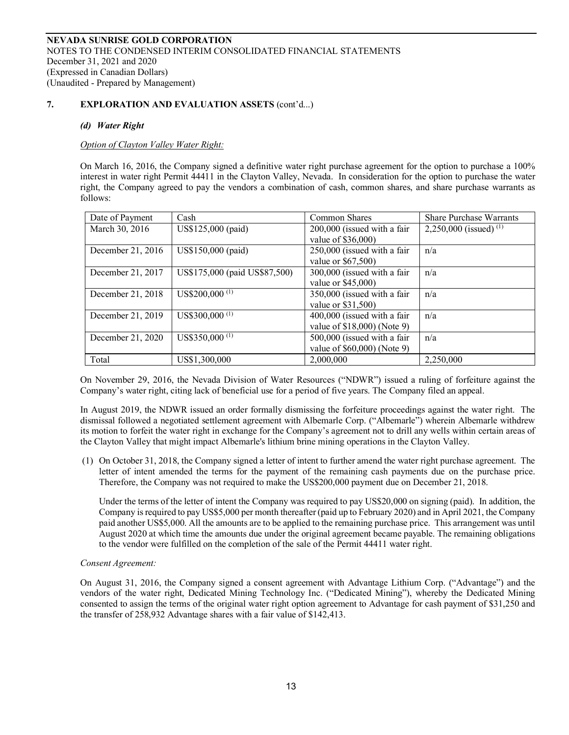### *(d) Water Right*

*Option of Clayton Valley Water Right:*

On March 16, 2016, the Company signed a definitive water right purchase agreement for the option to purchase a 100% interest in water right Permit 44411 in the Clayton Valley, Nevada. In consideration for the option to purchase the water right, the Company agreed to pay the vendors a combination of cash, common shares, and share purchase warrants as follows:

| Date of Payment   | Cash                            | <b>Common Shares</b>        | <b>Share Purchase Warrants</b>    |
|-------------------|---------------------------------|-----------------------------|-----------------------------------|
| March 30, 2016    | US\$125,000 (paid)              | 200,000 (issued with a fair | 2,250,000 (issued) <sup>(1)</sup> |
|                   |                                 | value of \$36,000)          |                                   |
| December 21, 2016 | US\$150,000 (paid)              | 250,000 (issued with a fair | n/a                               |
|                   |                                 | value or \$67,500)          |                                   |
| December 21, 2017 | US\$175,000 (paid US\$87,500)   | 300,000 (issued with a fair | n/a                               |
|                   |                                 | value or \$45,000)          |                                   |
| December 21, 2018 | US\$200,000 $(1)$               | 350,000 (issued with a fair | n/a                               |
|                   |                                 | value or \$31,500)          |                                   |
| December 21, 2019 | US\$300,000 $\overline{^{(1)}}$ | 400,000 (issued with a fair | n/a                               |
|                   |                                 | value of \$18,000) (Note 9) |                                   |
| December 21, 2020 | US\$350,000 <sup>(1)</sup>      | 500,000 (issued with a fair | n/a                               |
|                   |                                 | value of \$60,000) (Note 9) |                                   |
| Total             | US\$1,300,000                   | 2,000,000                   | 2,250,000                         |

On November 29, 2016, the Nevada Division of Water Resources ("NDWR") issued a ruling of forfeiture against the Company's water right, citing lack of beneficial use for a period of five years. The Company filed an appeal.

In August 2019, the NDWR issued an order formally dismissing the forfeiture proceedings against the water right. The dismissal followed a negotiated settlement agreement with Albemarle Corp. ("Albemarle") wherein Albemarle withdrew its motion to forfeit the water right in exchange for the Company's agreement not to drill any wells within certain areas of the Clayton Valley that might impact Albemarle's lithium brine mining operations in the Clayton Valley.

(1) On October 31, 2018, the Company signed a letter of intent to further amend the water right purchase agreement. The letter of intent amended the terms for the payment of the remaining cash payments due on the purchase price. Therefore, the Company was not required to make the US\$200,000 payment due on December 21, 2018.

Under the terms of the letter of intent the Company was required to pay US\$20,000 on signing (paid). In addition, the Company is required to pay US\$5,000 per month thereafter (paid up to February 2020) and in April 2021, the Company paid another US\$5,000. All the amounts are to be applied to the remaining purchase price. This arrangement was until August 2020 at which time the amounts due under the original agreement became payable. The remaining obligations to the vendor were fulfilled on the completion of the sale of the Permit 44411 water right.

#### *Consent Agreement:*

On August 31, 2016, the Company signed a consent agreement with Advantage Lithium Corp. ("Advantage") and the vendors of the water right, Dedicated Mining Technology Inc. ("Dedicated Mining"), whereby the Dedicated Mining consented to assign the terms of the original water right option agreement to Advantage for cash payment of \$31,250 and the transfer of 258,932 Advantage shares with a fair value of \$142,413.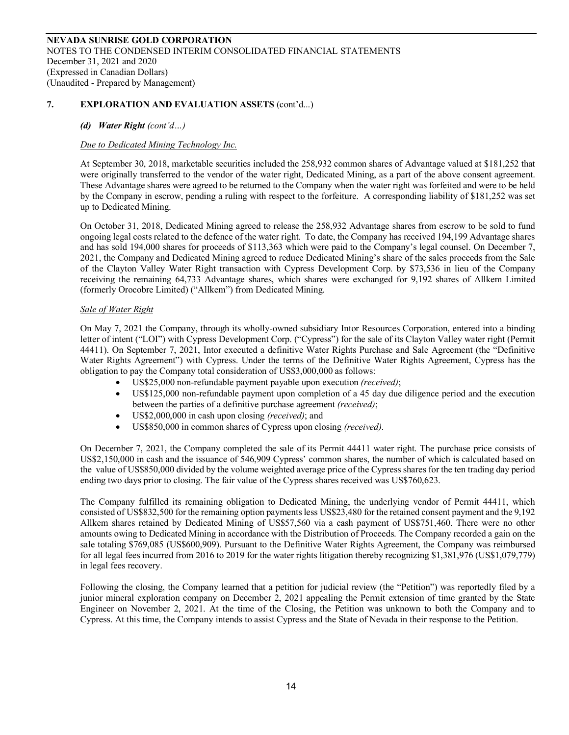# *(d) Water Right (cont'd…)*

# *Due to Dedicated Mining Technology Inc.*

At September 30, 2018, marketable securities included the 258,932 common shares of Advantage valued at \$181,252 that were originally transferred to the vendor of the water right, Dedicated Mining, as a part of the above consent agreement. These Advantage shares were agreed to be returned to the Company when the water right was forfeited and were to be held by the Company in escrow, pending a ruling with respect to the forfeiture. A corresponding liability of \$181,252 was set up to Dedicated Mining.

On October 31, 2018, Dedicated Mining agreed to release the 258,932 Advantage shares from escrow to be sold to fund ongoing legal costs related to the defence of the water right. To date, the Company has received 194,199 Advantage shares and has sold 194,000 shares for proceeds of \$113,363 which were paid to the Company's legal counsel. On December 7, 2021, the Company and Dedicated Mining agreed to reduce Dedicated Mining's share of the sales proceeds from the Sale of the Clayton Valley Water Right transaction with Cypress Development Corp. by \$73,536 in lieu of the Company receiving the remaining 64,733 Advantage shares, which shares were exchanged for 9,192 shares of Allkem Limited (formerly Orocobre Limited) ("Allkem") from Dedicated Mining.

# *Sale of Water Right*

On May 7, 2021 the Company, through its wholly-owned subsidiary Intor Resources Corporation, entered into a binding letter of intent ("LOI") with Cypress Development Corp. ("Cypress") for the sale of its Clayton Valley water right (Permit 44411). On September 7, 2021, Intor executed a definitive Water Rights Purchase and Sale Agreement (the "Definitive Water Rights Agreement") with Cypress. Under the terms of the Definitive Water Rights Agreement, Cypress has the obligation to pay the Company total consideration of US\$3,000,000 as follows:

- US\$25,000 non-refundable payment payable upon execution *(received)*;
- US\$125,000 non-refundable payment upon completion of a 45 day due diligence period and the execution between the parties of a definitive purchase agreement *(received)*;
- US\$2,000,000 in cash upon closing *(received)*; and
- US\$850,000 in common shares of Cypress upon closing *(received)*.

On December 7, 2021, the Company completed the sale of its Permit 44411 water right. The purchase price consists of US\$2,150,000 in cash and the issuance of 546,909 Cypress' common shares, the number of which is calculated based on the value of US\$850,000 divided by the volume weighted average price of the Cypress shares for the ten trading day period ending two days prior to closing. The fair value of the Cypress shares received was US\$760,623.

The Company fulfilled its remaining obligation to Dedicated Mining, the underlying vendor of Permit 44411, which consisted of US\$832,500 for the remaining option payments less US\$23,480 for the retained consent payment and the 9,192 Allkem shares retained by Dedicated Mining of US\$57,560 via a cash payment of US\$751,460. There were no other amounts owing to Dedicated Mining in accordance with the Distribution of Proceeds. The Company recorded a gain on the sale totaling \$769,085 (US\$600,909). Pursuant to the Definitive Water Rights Agreement, the Company was reimbursed for all legal fees incurred from 2016 to 2019 for the water rights litigation thereby recognizing \$1,381,976 (US\$1,079,779) in legal fees recovery.

Following the closing, the Company learned that a petition for judicial review (the "Petition") was reportedly filed by a junior mineral exploration company on December 2, 2021 appealing the Permit extension of time granted by the State Engineer on November 2, 2021. At the time of the Closing, the Petition was unknown to both the Company and to Cypress. At this time, the Company intends to assist Cypress and the State of Nevada in their response to the Petition.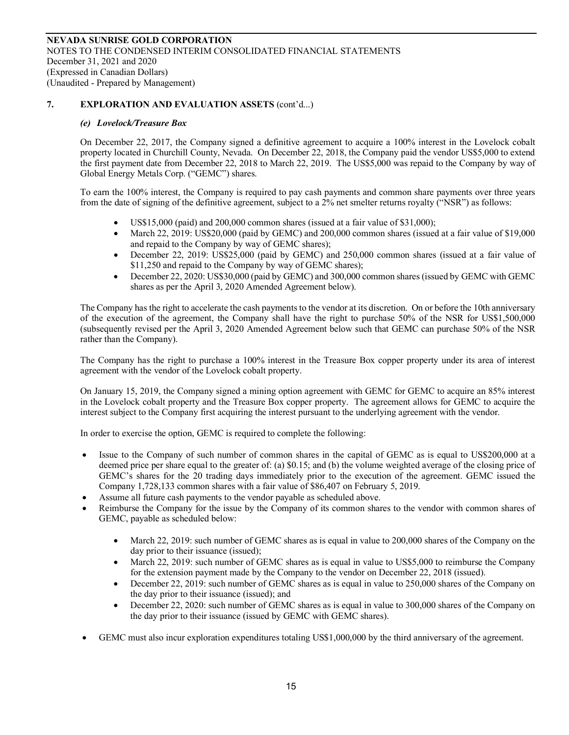#### *(e) Lovelock/Treasure Box*

On December 22, 2017, the Company signed a definitive agreement to acquire a 100% interest in the Lovelock cobalt property located in Churchill County, Nevada. On December 22, 2018, the Company paid the vendor US\$5,000 to extend the first payment date from December 22, 2018 to March 22, 2019. The US\$5,000 was repaid to the Company by way of Global Energy Metals Corp. ("GEMC") shares.

To earn the 100% interest, the Company is required to pay cash payments and common share payments over three years from the date of signing of the definitive agreement, subject to a 2% net smelter returns royalty ("NSR") as follows:

- US\$15,000 (paid) and  $200,000$  common shares (issued at a fair value of \$31,000);
- March 22, 2019: US\$20,000 (paid by GEMC) and 200,000 common shares (issued at a fair value of \$19,000 and repaid to the Company by way of GEMC shares);
- December 22, 2019: US\$25,000 (paid by GEMC) and 250,000 common shares (issued at a fair value of \$11,250 and repaid to the Company by way of GEMC shares);
- December 22, 2020: US\$30,000 (paid by GEMC) and 300,000 common shares (issued by GEMC with GEMC shares as per the April 3, 2020 Amended Agreement below).

The Company has the right to accelerate the cash payments to the vendor at its discretion. On or before the 10th anniversary of the execution of the agreement, the Company shall have the right to purchase 50% of the NSR for US\$1,500,000 (subsequently revised per the April 3, 2020 Amended Agreement below such that GEMC can purchase 50% of the NSR rather than the Company).

The Company has the right to purchase a 100% interest in the Treasure Box copper property under its area of interest agreement with the vendor of the Lovelock cobalt property.

On January 15, 2019, the Company signed a mining option agreement with GEMC for GEMC to acquire an 85% interest in the Lovelock cobalt property and the Treasure Box copper property. The agreement allows for GEMC to acquire the interest subject to the Company first acquiring the interest pursuant to the underlying agreement with the vendor.

In order to exercise the option, GEMC is required to complete the following:

- Issue to the Company of such number of common shares in the capital of GEMC as is equal to US\$200,000 at a deemed price per share equal to the greater of: (a) \$0.15; and (b) the volume weighted average of the closing price of GEMC's shares for the 20 trading days immediately prior to the execution of the agreement. GEMC issued the Company 1,728,133 common shares with a fair value of \$86,407 on February 5, 2019.
- Assume all future cash payments to the vendor payable as scheduled above.
- Reimburse the Company for the issue by the Company of its common shares to the vendor with common shares of GEMC, payable as scheduled below:
	- March 22, 2019: such number of GEMC shares as is equal in value to 200,000 shares of the Company on the day prior to their issuance (issued);
	- March 22, 2019: such number of GEMC shares as is equal in value to US\$5,000 to reimburse the Company for the extension payment made by the Company to the vendor on December 22, 2018 (issued).
	- December 22, 2019: such number of GEMC shares as is equal in value to 250,000 shares of the Company on the day prior to their issuance (issued); and
	- December 22, 2020: such number of GEMC shares as is equal in value to 300,000 shares of the Company on the day prior to their issuance (issued by GEMC with GEMC shares).
- GEMC must also incur exploration expenditures totaling US\$1,000,000 by the third anniversary of the agreement.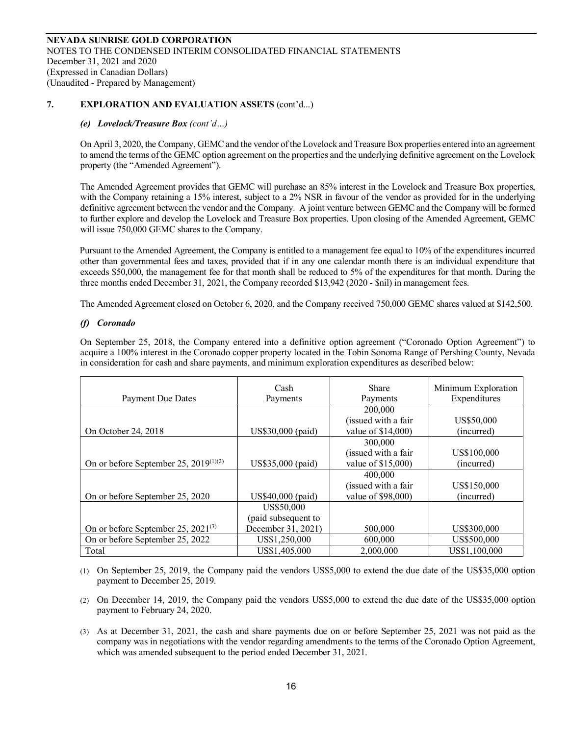#### *(e) Lovelock/Treasure Box (cont'd…)*

On April 3, 2020, the Company, GEMC and the vendor of the Lovelock and Treasure Box properties entered into an agreement to amend the terms of the GEMC option agreement on the properties and the underlying definitive agreement on the Lovelock property (the "Amended Agreement").

The Amended Agreement provides that GEMC will purchase an 85% interest in the Lovelock and Treasure Box properties, with the Company retaining a 15% interest, subject to a 2% NSR in favour of the vendor as provided for in the underlying definitive agreement between the vendor and the Company. A joint venture between GEMC and the Company will be formed to further explore and develop the Lovelock and Treasure Box properties. Upon closing of the Amended Agreement, GEMC will issue 750,000 GEMC shares to the Company.

Pursuant to the Amended Agreement, the Company is entitled to a management fee equal to 10% of the expenditures incurred other than governmental fees and taxes, provided that if in any one calendar month there is an individual expenditure that exceeds \$50,000, the management fee for that month shall be reduced to 5% of the expenditures for that month. During the three months ended December 31, 2021, the Company recorded \$13,942 (2020 - \$nil) in management fees.

The Amended Agreement closed on October 6, 2020, and the Company received 750,000 GEMC shares valued at \$142,500.

#### *(f) Coronado*

On September 25, 2018, the Company entered into a definitive option agreement ("Coronado Option Agreement") to acquire a 100% interest in the Coronado copper property located in the Tobin Sonoma Range of Pershing County, Nevada in consideration for cash and share payments, and minimum exploration expenditures as described below:

|                                                   | Cash                | Share                | Minimum Exploration |
|---------------------------------------------------|---------------------|----------------------|---------------------|
| <b>Payment Due Dates</b>                          | Payments            | Payments             | Expenditures        |
|                                                   |                     | 200,000              |                     |
|                                                   |                     | (issued with a fair  | US\$50,000          |
| On October 24, 2018                               | US\$30,000 (paid)   | value of \$14,000)   | (incurred)          |
|                                                   |                     | 300,000              |                     |
|                                                   |                     | (issued with a fair) | US\$100,000         |
| On or before September 25, 2019 <sup>(1)(2)</sup> | US\$35,000 (paid)   | value of \$15,000)   | (incurred)          |
|                                                   |                     | 400,000              |                     |
|                                                   |                     | (issued with a fair  | US\$150,000         |
| On or before September 25, 2020                   | US\$40,000 (paid)   | value of \$98,000)   | (incurred)          |
|                                                   | US\$50,000          |                      |                     |
|                                                   | (paid subsequent to |                      |                     |
| On or before September 25, $2021^{(3)}$           | December 31, 2021)  | 500,000              | US\$300,000         |
| On or before September 25, 2022                   | US\$1,250,000       | 600,000              | US\$500,000         |
| Total                                             | US\$1,405,000       | 2,000,000            | US\$1,100,000       |

(1) On September 25, 2019, the Company paid the vendors US\$5,000 to extend the due date of the US\$35,000 option payment to December 25, 2019.

(2) On December 14, 2019, the Company paid the vendors US\$5,000 to extend the due date of the US\$35,000 option payment to February 24, 2020.

(3) As at December 31, 2021, the cash and share payments due on or before September 25, 2021 was not paid as the company was in negotiations with the vendor regarding amendments to the terms of the Coronado Option Agreement, which was amended subsequent to the period ended December 31, 2021.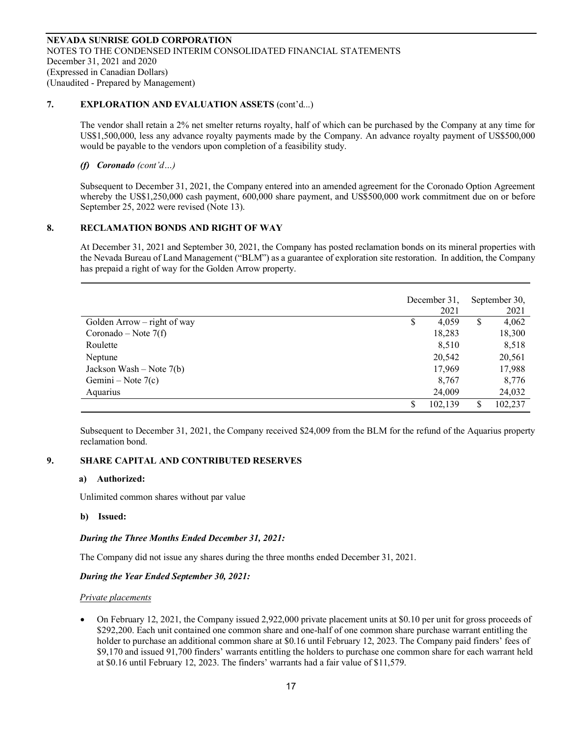The vendor shall retain a 2% net smelter returns royalty, half of which can be purchased by the Company at any time for US\$1,500,000, less any advance royalty payments made by the Company. An advance royalty payment of US\$500,000 would be payable to the vendors upon completion of a feasibility study.

# *(f) Coronado (cont'd…)*

Subsequent to December 31, 2021, the Company entered into an amended agreement for the Coronado Option Agreement whereby the US\$1,250,000 cash payment, 600,000 share payment, and US\$500,000 work commitment due on or before September 25, 2022 were revised (Note 13).

# **8. RECLAMATION BONDS AND RIGHT OF WAY**

At December 31, 2021 and September 30, 2021, the Company has posted reclamation bonds on its mineral properties with the Nevada Bureau of Land Management ("BLM") as a guarantee of exploration site restoration. In addition, the Company has prepaid a right of way for the Golden Arrow property.

|                               |   | December 31,<br>2021 |    | September 30,<br>2021 |
|-------------------------------|---|----------------------|----|-----------------------|
| Golden Arrow $-$ right of way | S | 4,059                | \$ | 4,062                 |
| Coronado – Note $7(f)$        |   | 18,283               |    | 18,300                |
| Roulette                      |   | 8,510                |    | 8,518                 |
| Neptune                       |   | 20,542               |    | 20,561                |
| Jackson Wash – Note $7(b)$    |   | 17,969               |    | 17,988                |
| Gemini – Note $7(c)$          |   | 8,767                |    | 8,776                 |
| Aquarius                      |   | 24,009               |    | 24,032                |
|                               |   | 102,139              | \$ | 102,237               |

Subsequent to December 31, 2021, the Company received \$24,009 from the BLM for the refund of the Aquarius property reclamation bond.

# **9. SHARE CAPITAL AND CONTRIBUTED RESERVES**

# **a) Authorized:**

Unlimited common shares without par value

**b) Issued:** 

# *During the Three Months Ended December 31, 2021:*

The Company did not issue any shares during the three months ended December 31, 2021.

# *During the Year Ended September 30, 2021:*

# *Private placements*

• On February 12, 2021, the Company issued 2,922,000 private placement units at \$0.10 per unit for gross proceeds of \$292,200. Each unit contained one common share and one-half of one common share purchase warrant entitling the holder to purchase an additional common share at \$0.16 until February 12, 2023. The Company paid finders' fees of \$9,170 and issued 91,700 finders' warrants entitling the holders to purchase one common share for each warrant held at \$0.16 until February 12, 2023. The finders' warrants had a fair value of \$11,579.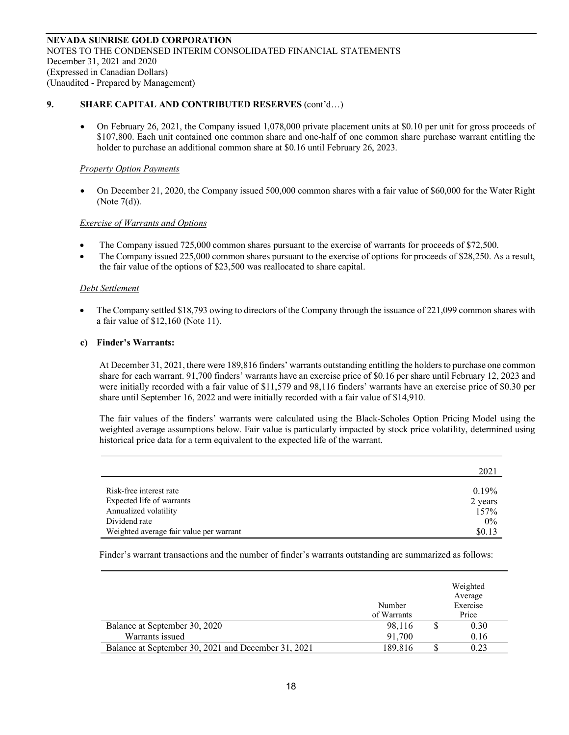# 9. SHARE CAPITAL AND CONTRIBUTED RESERVES (cont'd...)

• On February 26, 2021, the Company issued 1,078,000 private placement units at \$0.10 per unit for gross proceeds of \$107,800. Each unit contained one common share and one-half of one common share purchase warrant entitling the holder to purchase an additional common share at \$0.16 until February 26, 2023.

#### *Property Option Payments*

• On December 21, 2020, the Company issued 500,000 common shares with a fair value of \$60,000 for the Water Right (Note 7(d)).

#### *Exercise of Warrants and Options*

- The Company issued 725,000 common shares pursuant to the exercise of warrants for proceeds of \$72,500.
- The Company issued 225,000 common shares pursuant to the exercise of options for proceeds of \$28,250. As a result, the fair value of the options of \$23,500 was reallocated to share capital.

#### *Debt Settlement*

• The Company settled \$18,793 owing to directors of the Company through the issuance of 221,099 common shares with a fair value of \$12,160 (Note 11).

### **c) Finder's Warrants:**

At December 31, 2021, there were 189,816 finders' warrants outstanding entitling the holders to purchase one common share for each warrant. 91,700 finders' warrants have an exercise price of \$0.16 per share until February 12, 2023 and were initially recorded with a fair value of \$11,579 and 98,116 finders' warrants have an exercise price of \$0.30 per share until September 16, 2022 and were initially recorded with a fair value of \$14,910.

The fair values of the finders' warrants were calculated using the Black-Scholes Option Pricing Model using the weighted average assumptions below. Fair value is particularly impacted by stock price volatility, determined using historical price data for a term equivalent to the expected life of the warrant.

|                                         | 2021     |
|-----------------------------------------|----------|
| Risk-free interest rate                 | $0.19\%$ |
| Expected life of warrants               | 2 years  |
| Annualized volatility                   | 157%     |
| Dividend rate                           | 0%       |
| Weighted average fair value per warrant | \$0.13   |

Finder's warrant transactions and the number of finder's warrants outstanding are summarized as follows:

|                                                     | Number<br>of Warrants | Weighted<br>Average<br>Exercise<br>Price |
|-----------------------------------------------------|-----------------------|------------------------------------------|
| Balance at September 30, 2020                       | 98,116                | 0.30                                     |
| Warrants issued                                     | 91,700                | 0.16                                     |
| Balance at September 30, 2021 and December 31, 2021 | 189.816               | 0.23                                     |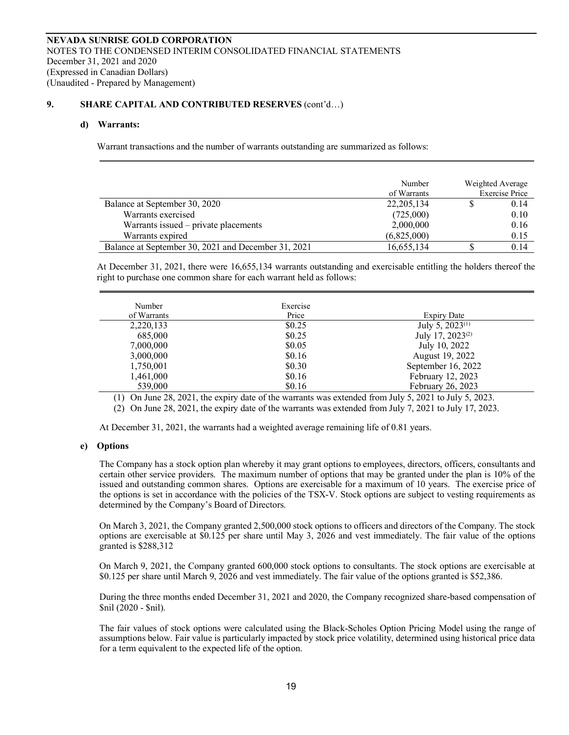#### **9. SHARE CAPITAL AND CONTRIBUTED RESERVES** (cont'd…)

#### **d) Warrants:**

Warrant transactions and the number of warrants outstanding are summarized as follows:

|                                                     | Number<br>of Warrants | Weighted Average<br><b>Exercise Price</b> |
|-----------------------------------------------------|-----------------------|-------------------------------------------|
| Balance at September 30, 2020                       | 22, 205, 134          | 0.14                                      |
| Warrants exercised                                  | (725,000)             | 0.10                                      |
| Warrants issued – private placements                | 2,000,000             | 0.16                                      |
| Warrants expired                                    | (6,825,000)           | 0.15                                      |
| Balance at September 30, 2021 and December 31, 2021 | 16,655,134            | 0.14                                      |

At December 31, 2021, there were 16,655,134 warrants outstanding and exercisable entitling the holders thereof the right to purchase one common share for each warrant held as follows:

| Number<br>of Warrants | Exercise<br>Price | Expiry Date                  |
|-----------------------|-------------------|------------------------------|
| 2,220,133             | \$0.25            | July 5, 2023 <sup>(1)</sup>  |
| 685,000               | \$0.25            | July 17, 2023 <sup>(2)</sup> |
| 7,000,000             | \$0.05            | July 10, 2022                |
| 3,000,000             | \$0.16            | August 19, 2022              |
| 1,750,001             | \$0.30            | September 16, 2022           |
| 1,461,000             | \$0.16            | February 12, 2023            |
| 539,000               | \$0.16            | February 26, 2023            |

(1) On June 28, 2021, the expiry date of the warrants was extended from July 5, 2021 to July 5, 2023.

(2) On June 28, 2021, the expiry date of the warrants was extended from July 7, 2021 to July 17, 2023.

At December 31, 2021, the warrants had a weighted average remaining life of 0.81 years.

#### **e) Options**

The Company has a stock option plan whereby it may grant options to employees, directors, officers, consultants and certain other service providers. The maximum number of options that may be granted under the plan is 10% of the issued and outstanding common shares. Options are exercisable for a maximum of 10 years. The exercise price of the options is set in accordance with the policies of the TSX-V. Stock options are subject to vesting requirements as determined by the Company's Board of Directors.

On March 3, 2021, the Company granted 2,500,000 stock options to officers and directors of the Company. The stock options are exercisable at \$0.125 per share until May 3, 2026 and vest immediately. The fair value of the options granted is \$288,312

On March 9, 2021, the Company granted 600,000 stock options to consultants. The stock options are exercisable at \$0.125 per share until March 9, 2026 and vest immediately. The fair value of the options granted is \$52,386.

During the three months ended December 31, 2021 and 2020, the Company recognized share-based compensation of \$nil (2020 - \$nil).

The fair values of stock options were calculated using the Black-Scholes Option Pricing Model using the range of assumptions below. Fair value is particularly impacted by stock price volatility, determined using historical price data for a term equivalent to the expected life of the option.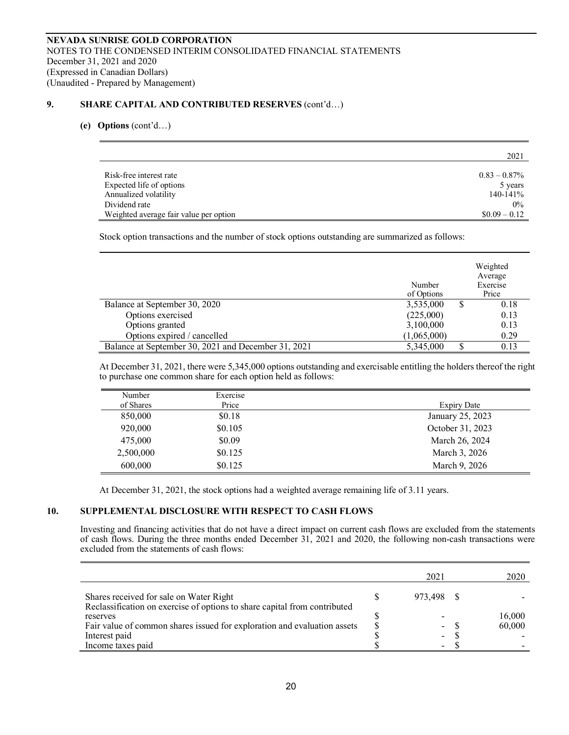### 9. **SHARE CAPITAL AND CONTRIBUTED RESERVES** (cont'd...)

#### **(e) Options** (cont'd…)

|                                        | 2021            |
|----------------------------------------|-----------------|
|                                        |                 |
| Risk-free interest rate                | $0.83 - 0.87\%$ |
| Expected life of options               | 5 years         |
| Annualized volatility                  | $140 - 141\%$   |
| Dividend rate                          | $0\%$           |
| Weighted average fair value per option | $$0.09 - 0.12$  |

Stock option transactions and the number of stock options outstanding are summarized as follows:

|                                                     | Number<br>of Options | Weighted<br>Average<br>Exercise<br>Price |
|-----------------------------------------------------|----------------------|------------------------------------------|
| Balance at September 30, 2020                       | 3,535,000            | 0.18                                     |
| Options exercised                                   | (225,000)            | 0.13                                     |
| Options granted                                     | 3,100,000            | 0.13                                     |
| Options expired / cancelled                         | (1,065,000)          | 0.29                                     |
| Balance at September 30, 2021 and December 31, 2021 | 5,345,000            | 0.13                                     |

At December 31, 2021, there were 5,345,000 options outstanding and exercisable entitling the holders thereof the right to purchase one common share for each option held as follows:

| Number    | Exercise |                    |
|-----------|----------|--------------------|
| of Shares | Price    | <b>Expiry Date</b> |
| 850,000   | \$0.18   | January 25, 2023   |
| 920,000   | \$0.105  | October 31, 2023   |
| 475,000   | \$0.09   | March 26, 2024     |
| 2,500,000 | \$0.125  | March 3, 2026      |
| 600,000   | \$0.125  | March 9, 2026      |

At December 31, 2021, the stock options had a weighted average remaining life of 3.11 years.

# **10. SUPPLEMENTAL DISCLOSURE WITH RESPECT TO CASH FLOWS**

Investing and financing activities that do not have a direct impact on current cash flows are excluded from the statements of cash flows. During the three months ended December 31, 2021 and 2020, the following non-cash transactions were excluded from the statements of cash flows:

|                                                                           | 2021                     | 2020   |
|---------------------------------------------------------------------------|--------------------------|--------|
| Shares received for sale on Water Right                                   | 973.498                  |        |
| Reclassification on exercise of options to share capital from contributed |                          |        |
| reserves                                                                  |                          | 16,000 |
| Fair value of common shares issued for exploration and evaluation assets  | Ξ.                       | 60,000 |
| Interest paid                                                             | Ξ.                       |        |
| Income taxes paid                                                         | $\overline{\phantom{0}}$ |        |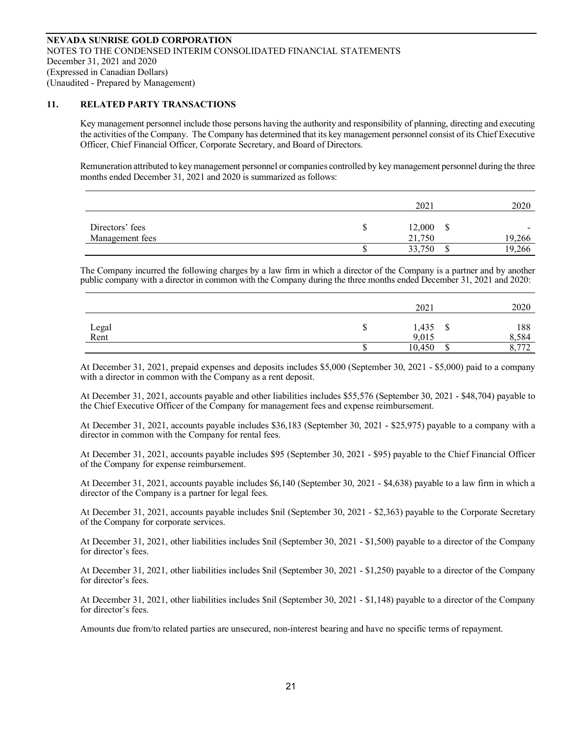#### **11. RELATED PARTY TRANSACTIONS**

Key management personnel include those persons having the authority and responsibility of planning, directing and executing the activities of the Company. The Company has determined that its key management personnel consist of its Chief Executive Officer, Chief Financial Officer, Corporate Secretary, and Board of Directors.

Remuneration attributed to key management personnel or companies controlled by key management personnel during the three months ended December 31, 2021 and 2020 is summarized as follows:

|                                    | 2021                  | 2020        |
|------------------------------------|-----------------------|-------------|
| Directors' fees<br>Management fees | 12,000<br>S<br>21,750 | -<br>19,266 |
|                                    | 33,750                | 266<br>Q    |

The Company incurred the following charges by a law firm in which a director of the Company is a partner and by another public company with a director in common with the Company during the three months ended December 31, 2021 and 2020:

|               |   | 2021           |   | 2020         |
|---------------|---|----------------|---|--------------|
| Legal<br>Rent | Φ | 1,435<br>9,015 | Ψ | 188<br>8,584 |
|               |   | 10,450         |   | 0.772<br>ے ، |

At December 31, 2021, prepaid expenses and deposits includes \$5,000 (September 30, 2021 - \$5,000) paid to a company with a director in common with the Company as a rent deposit.

At December 31, 2021, accounts payable and other liabilities includes \$55,576 (September 30, 2021 - \$48,704) payable to the Chief Executive Officer of the Company for management fees and expense reimbursement.

At December 31, 2021, accounts payable includes \$36,183 (September 30, 2021 - \$25,975) payable to a company with a director in common with the Company for rental fees.

At December 31, 2021, accounts payable includes \$95 (September 30, 2021 - \$95) payable to the Chief Financial Officer of the Company for expense reimbursement.

At December 31, 2021, accounts payable includes \$6,140 (September 30, 2021 - \$4,638) payable to a law firm in which a director of the Company is a partner for legal fees.

At December 31, 2021, accounts payable includes \$nil (September 30, 2021 - \$2,363) payable to the Corporate Secretary of the Company for corporate services.

At December 31, 2021, other liabilities includes \$nil (September 30, 2021 - \$1,500) payable to a director of the Company for director's fees.

At December 31, 2021, other liabilities includes \$nil (September 30, 2021 - \$1,250) payable to a director of the Company for director's fees.

At December 31, 2021, other liabilities includes \$nil (September 30, 2021 - \$1,148) payable to a director of the Company for director's fees.

Amounts due from/to related parties are unsecured, non-interest bearing and have no specific terms of repayment.